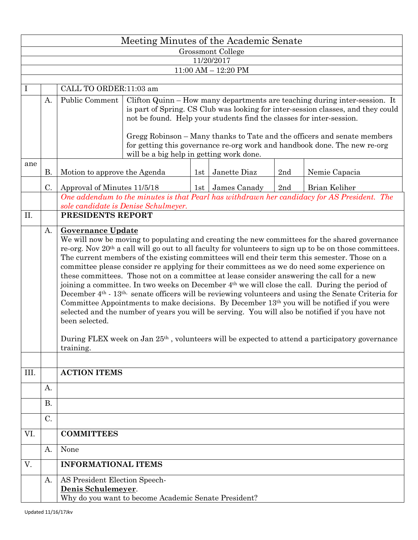|                                       | Meeting Minutes of the Academic Senate |                                                                                                                                                                                                                                                                                                                                                                                                                                                                                                                                                                                                                                                                                                                                                                                                                                                                                                                                                                                                                                                                                                                                           |                                                                                                                                                                                                                                                                                                                                                                                                                                             |     |                    |     |               |  |  |  |  |  |  |  |
|---------------------------------------|----------------------------------------|-------------------------------------------------------------------------------------------------------------------------------------------------------------------------------------------------------------------------------------------------------------------------------------------------------------------------------------------------------------------------------------------------------------------------------------------------------------------------------------------------------------------------------------------------------------------------------------------------------------------------------------------------------------------------------------------------------------------------------------------------------------------------------------------------------------------------------------------------------------------------------------------------------------------------------------------------------------------------------------------------------------------------------------------------------------------------------------------------------------------------------------------|---------------------------------------------------------------------------------------------------------------------------------------------------------------------------------------------------------------------------------------------------------------------------------------------------------------------------------------------------------------------------------------------------------------------------------------------|-----|--------------------|-----|---------------|--|--|--|--|--|--|--|
| Grossmont College                     |                                        |                                                                                                                                                                                                                                                                                                                                                                                                                                                                                                                                                                                                                                                                                                                                                                                                                                                                                                                                                                                                                                                                                                                                           |                                                                                                                                                                                                                                                                                                                                                                                                                                             |     |                    |     |               |  |  |  |  |  |  |  |
| 11/20/2017<br>$11:00$ AM $- 12:20$ PM |                                        |                                                                                                                                                                                                                                                                                                                                                                                                                                                                                                                                                                                                                                                                                                                                                                                                                                                                                                                                                                                                                                                                                                                                           |                                                                                                                                                                                                                                                                                                                                                                                                                                             |     |                    |     |               |  |  |  |  |  |  |  |
|                                       |                                        |                                                                                                                                                                                                                                                                                                                                                                                                                                                                                                                                                                                                                                                                                                                                                                                                                                                                                                                                                                                                                                                                                                                                           |                                                                                                                                                                                                                                                                                                                                                                                                                                             |     |                    |     |               |  |  |  |  |  |  |  |
| $\bf{l}$                              |                                        | CALL TO ORDER:11:03 am                                                                                                                                                                                                                                                                                                                                                                                                                                                                                                                                                                                                                                                                                                                                                                                                                                                                                                                                                                                                                                                                                                                    |                                                                                                                                                                                                                                                                                                                                                                                                                                             |     |                    |     |               |  |  |  |  |  |  |  |
|                                       | A.                                     | Public Comment                                                                                                                                                                                                                                                                                                                                                                                                                                                                                                                                                                                                                                                                                                                                                                                                                                                                                                                                                                                                                                                                                                                            | Clifton Quinn – How many departments are teaching during inter-session. It<br>is part of Spring. CS Club was looking for inter-session classes, and they could<br>not be found. Help your students find the classes for inter-session.<br>Gregg Robinson - Many thanks to Tate and the officers and senate members<br>for getting this governance re-org work and handbook done. The new re-org<br>will be a big help in getting work done. |     |                    |     |               |  |  |  |  |  |  |  |
| ane                                   | Motion to approve the Agenda<br>В.     |                                                                                                                                                                                                                                                                                                                                                                                                                                                                                                                                                                                                                                                                                                                                                                                                                                                                                                                                                                                                                                                                                                                                           |                                                                                                                                                                                                                                                                                                                                                                                                                                             | 1st | Janette Diaz       | 2nd | Nemie Capacia |  |  |  |  |  |  |  |
|                                       | C.                                     | Approval of Minutes 11/5/18                                                                                                                                                                                                                                                                                                                                                                                                                                                                                                                                                                                                                                                                                                                                                                                                                                                                                                                                                                                                                                                                                                               |                                                                                                                                                                                                                                                                                                                                                                                                                                             |     | 1st   James Canady | 2nd | Brian Keliher |  |  |  |  |  |  |  |
|                                       |                                        | One addendum to the minutes is that Pearl has withdrawn her candidacy for AS President. The<br>sole candidate is Denise Schulmeyer.                                                                                                                                                                                                                                                                                                                                                                                                                                                                                                                                                                                                                                                                                                                                                                                                                                                                                                                                                                                                       |                                                                                                                                                                                                                                                                                                                                                                                                                                             |     |                    |     |               |  |  |  |  |  |  |  |
| II.                                   |                                        |                                                                                                                                                                                                                                                                                                                                                                                                                                                                                                                                                                                                                                                                                                                                                                                                                                                                                                                                                                                                                                                                                                                                           | PRESIDENTS REPORT                                                                                                                                                                                                                                                                                                                                                                                                                           |     |                    |     |               |  |  |  |  |  |  |  |
|                                       | A.                                     | <b>Governance Update</b><br>We will now be moving to populating and creating the new committees for the shared governance<br>re-org. Nov 20 <sup>th</sup> a call will go out to all faculty for volunteers to sign up to be on those committees.<br>The current members of the existing committees will end their term this semester. Those on a<br>committee please consider re applying for their committees as we do need some experience on<br>these committees. Those not on a committee at lease consider answering the call for a new<br>joining a committee. In two weeks on December 4 <sup>th</sup> we will close the call. During the period of<br>December 4 <sup>th</sup> - 13 <sup>th,</sup> senate officers will be reviewing volunteers and using the Senate Criteria for<br>Committee Appointments to make decisions. By December 13th you will be notified if you were<br>selected and the number of years you will be serving. You will also be notified if you have not<br>been selected.<br>During FLEX week on Jan 25 <sup>th</sup> , volunteers will be expected to attend a participatory governance<br>training. |                                                                                                                                                                                                                                                                                                                                                                                                                                             |     |                    |     |               |  |  |  |  |  |  |  |
| III.                                  |                                        | <b>ACTION ITEMS</b>                                                                                                                                                                                                                                                                                                                                                                                                                                                                                                                                                                                                                                                                                                                                                                                                                                                                                                                                                                                                                                                                                                                       |                                                                                                                                                                                                                                                                                                                                                                                                                                             |     |                    |     |               |  |  |  |  |  |  |  |
|                                       | A.                                     |                                                                                                                                                                                                                                                                                                                                                                                                                                                                                                                                                                                                                                                                                                                                                                                                                                                                                                                                                                                                                                                                                                                                           |                                                                                                                                                                                                                                                                                                                                                                                                                                             |     |                    |     |               |  |  |  |  |  |  |  |
|                                       | <b>B.</b>                              |                                                                                                                                                                                                                                                                                                                                                                                                                                                                                                                                                                                                                                                                                                                                                                                                                                                                                                                                                                                                                                                                                                                                           |                                                                                                                                                                                                                                                                                                                                                                                                                                             |     |                    |     |               |  |  |  |  |  |  |  |
|                                       | C.                                     |                                                                                                                                                                                                                                                                                                                                                                                                                                                                                                                                                                                                                                                                                                                                                                                                                                                                                                                                                                                                                                                                                                                                           |                                                                                                                                                                                                                                                                                                                                                                                                                                             |     |                    |     |               |  |  |  |  |  |  |  |
| VI.                                   |                                        | <b>COMMITTEES</b>                                                                                                                                                                                                                                                                                                                                                                                                                                                                                                                                                                                                                                                                                                                                                                                                                                                                                                                                                                                                                                                                                                                         |                                                                                                                                                                                                                                                                                                                                                                                                                                             |     |                    |     |               |  |  |  |  |  |  |  |
|                                       | A.                                     | None                                                                                                                                                                                                                                                                                                                                                                                                                                                                                                                                                                                                                                                                                                                                                                                                                                                                                                                                                                                                                                                                                                                                      |                                                                                                                                                                                                                                                                                                                                                                                                                                             |     |                    |     |               |  |  |  |  |  |  |  |
| V.                                    |                                        | <b>INFORMATIONAL ITEMS</b>                                                                                                                                                                                                                                                                                                                                                                                                                                                                                                                                                                                                                                                                                                                                                                                                                                                                                                                                                                                                                                                                                                                |                                                                                                                                                                                                                                                                                                                                                                                                                                             |     |                    |     |               |  |  |  |  |  |  |  |
|                                       | A.                                     | AS President Election Speech-<br>Denis Schulemeyer.<br>Why do you want to become Academic Senate President?                                                                                                                                                                                                                                                                                                                                                                                                                                                                                                                                                                                                                                                                                                                                                                                                                                                                                                                                                                                                                               |                                                                                                                                                                                                                                                                                                                                                                                                                                             |     |                    |     |               |  |  |  |  |  |  |  |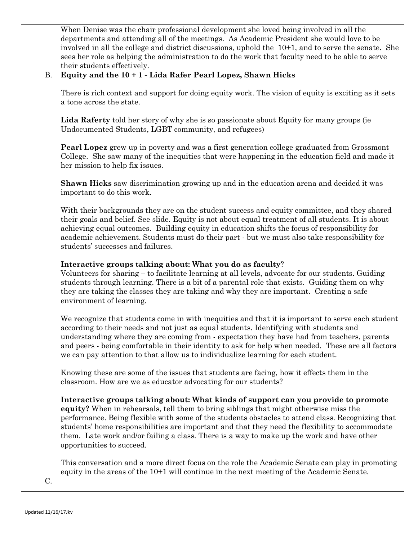|           | When Denise was the chair professional development she loved being involved in all the<br>departments and attending all of the meetings. As Academic President she would love to be<br>involved in all the college and district discussions, uphold the 10+1, and to serve the senate. She<br>sees her role as helping the administration to do the work that faculty need to be able to serve<br>their students effectively.                                                                                 |  |  |  |  |  |
|-----------|---------------------------------------------------------------------------------------------------------------------------------------------------------------------------------------------------------------------------------------------------------------------------------------------------------------------------------------------------------------------------------------------------------------------------------------------------------------------------------------------------------------|--|--|--|--|--|
| <b>B.</b> | Equity and the 10 + 1 - Lida Rafer Pearl Lopez, Shawn Hicks                                                                                                                                                                                                                                                                                                                                                                                                                                                   |  |  |  |  |  |
|           | There is rich context and support for doing equity work. The vision of equity is exciting as it sets<br>a tone across the state.                                                                                                                                                                                                                                                                                                                                                                              |  |  |  |  |  |
|           | Lida Raferty told her story of why she is so passionate about Equity for many groups (ie<br>Undocumented Students, LGBT community, and refugees)                                                                                                                                                                                                                                                                                                                                                              |  |  |  |  |  |
|           | <b>Pearl Lopez</b> grew up in poverty and was a first generation college graduated from Grossmont<br>College. She saw many of the inequities that were happening in the education field and made it<br>her mission to help fix issues.                                                                                                                                                                                                                                                                        |  |  |  |  |  |
|           | <b>Shawn Hicks</b> saw discrimination growing up and in the education arena and decided it was<br>important to do this work.                                                                                                                                                                                                                                                                                                                                                                                  |  |  |  |  |  |
|           | With their backgrounds they are on the student success and equity committee, and they shared<br>their goals and belief. See slide. Equity is not about equal treatment of all students. It is about<br>achieving equal outcomes. Building equity in education shifts the focus of responsibility for<br>academic achievement. Students must do their part - but we must also take responsibility for<br>students' successes and failures.                                                                     |  |  |  |  |  |
|           | Interactive groups talking about: What you do as faculty?<br>Volunteers for sharing – to facilitate learning at all levels, advocate for our students. Guiding<br>students through learning. There is a bit of a parental role that exists. Guiding them on why<br>they are taking the classes they are taking and why they are important. Creating a safe<br>environment of learning.                                                                                                                        |  |  |  |  |  |
|           | We recognize that students come in with inequities and that it is important to serve each student<br>according to their needs and not just as equal students. Identifying with students and<br>understanding where they are coming from - expectation they have had from teachers, parents<br>and peers - being comfortable in their identity to ask for help when needed. These are all factors<br>we can pay attention to that allow us to individualize learning for each student.                         |  |  |  |  |  |
|           | Knowing these are some of the issues that students are facing, how it effects them in the<br>classroom. How are we as educator advocating for our students?                                                                                                                                                                                                                                                                                                                                                   |  |  |  |  |  |
|           | Interactive groups talking about: What kinds of support can you provide to promote<br>equity? When in rehearsals, tell them to bring siblings that might otherwise miss the<br>performance. Being flexible with some of the students obstacles to attend class. Recognizing that<br>students' home responsibilities are important and that they need the flexibility to accommodate<br>them. Late work and/or failing a class. There is a way to make up the work and have other<br>opportunities to succeed. |  |  |  |  |  |
|           | This conversation and a more direct focus on the role the Academic Senate can play in promoting<br>equity in the areas of the $10+1$ will continue in the next meeting of the Academic Senate.                                                                                                                                                                                                                                                                                                                |  |  |  |  |  |
| C.        |                                                                                                                                                                                                                                                                                                                                                                                                                                                                                                               |  |  |  |  |  |
|           |                                                                                                                                                                                                                                                                                                                                                                                                                                                                                                               |  |  |  |  |  |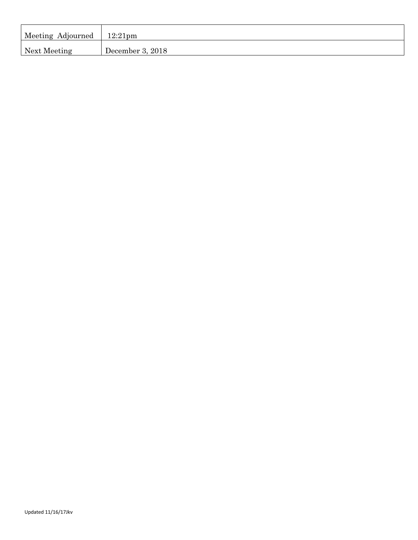| Meeting Adjourned | $12:21$ pm       |
|-------------------|------------------|
| Next Meeting      | December 3, 2018 |